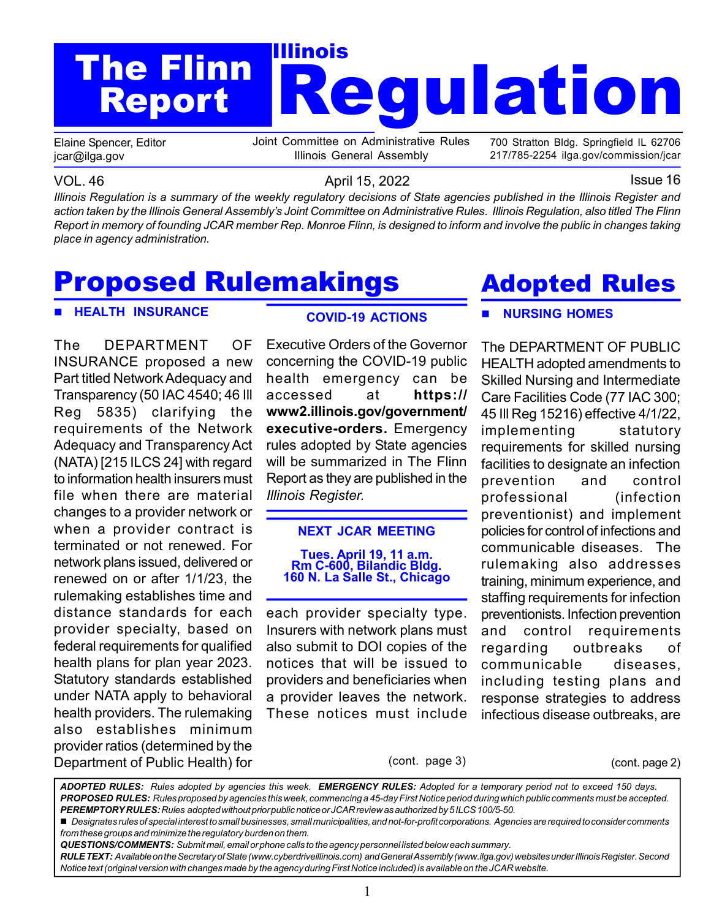# Regulation The Flinn **The Struck** Report

Elaine Spencer, Editor jcar@ilga.gov

Joint Committee on Administrative Rules Illinois General Assembly

700 Stratton Bldg. Springfield IL 62706 217/785-2254 ilga.gov/commission/jcar

VOL. 46 **April 15, 2022 ISSUE 16** April 15, 2022 Illinois Regulation is a summary of the weekly regulatory decisions of State agencies published in the Illinois Register and action taken by the Illinois General Assembly's Joint Committee on Administrative Rules. Illinois Regulation, also titled The Flinn Report in memory of founding JCAR member Rep. Monroe Flinn, is designed to inform and involve the public in changes taking place in agency administration.

# Proposed Rulemakings

#### **HEALTH INSURANCE**

The DEPARTMENT OF INSURANCE proposed a new Part titled Network Adequacy and Transparency (50 IAC 4540; 46 Ill Reg 5835) clarifying the requirements of the Network Adequacy and Transparency Act (NATA) [215 ILCS 24] with regard to information health insurers must file when there are material changes to a provider network or when a provider contract is terminated or not renewed. For network plans issued, delivered or renewed on or after 1/1/23, the rulemaking establishes time and distance standards for each provider specialty, based on federal requirements for qualified health plans for plan year 2023. Statutory standards established under NATA apply to behavioral health providers. The rulemaking also establishes minimum provider ratios (determined by the Department of Public Health) for

### COVID-19 ACTIONS

Executive Orders of the Governor concerning the COVID-19 public health emergency can be accessed at https:// www2.illinois.gov/government/ executive-orders. Emergency rules adopted by State agencies will be summarized in The Flinn Report as they are published in the Illinois Register.

#### NEXT JCAR MEETING

#### Tues. April 19, 11 a.m. Rm C-600, Bilandic Bldg. 160 N. La Salle St., Chicago

each provider specialty type. Insurers with network plans must also submit to DOI copies of the notices that will be issued to providers and beneficiaries when a provider leaves the network. These notices must include

# Adopted Rules

### NURSING HOMES

The DEPARTMENT OF PUBLIC HEALTH adopted amendments to Skilled Nursing and Intermediate Care Facilities Code (77 IAC 300; 45 Ill Reg 15216) effective 4/1/22, implementing statutory requirements for skilled nursing facilities to designate an infection prevention and control professional (infection preventionist) and implement policies for control of infections and communicable diseases. The rulemaking also addresses training, minimum experience, and staffing requirements for infection preventionists. Infection prevention and control requirements regarding outbreaks of communicable diseases, including testing plans and response strategies to address infectious disease outbreaks, are

(cont. page 3) (cont. page 2)

ADOPTED RULES: Rules adopted by agencies this week. EMERGENCY RULES: Adopted for a temporary period not to exceed 150 days. PROPOSED RULES: Rules proposed by agencies this week, commencing a 45-day First Notice period during which public comments must be accepted. PEREMPTORY RULES: Rules adopted without prior public notice or JCAR review as authorized by 5 ILCS 100/5-50.

Designates rules of special interest to small businesses, small municipalities, and not-for-profit corporations. Agencies are required to consider comments from these groups and minimize the regulatory burden on them.

QUESTIONS/COMMENTS: Submit mail, email or phone calls to the agency personnel listed below each summary.

RULE TEXT: Available on the Secretary of State (www.cyberdriveillinois.com) and General Assembly (www.ilga.gov) websites under Illinois Register. Second Notice text (original version with changes made by the agency during First Notice included) is available on the JCAR website.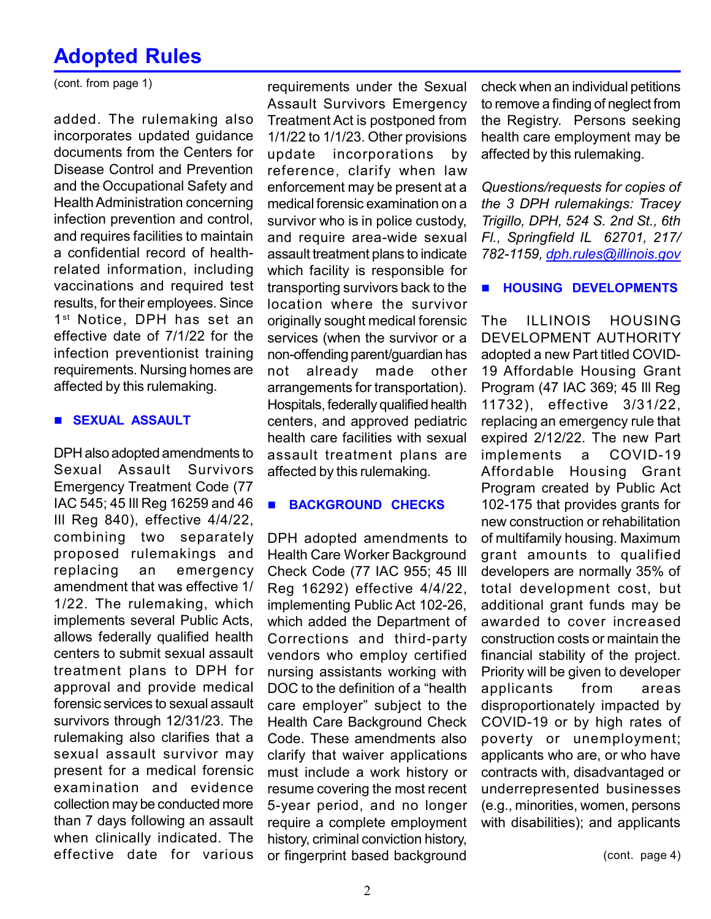## Adopted Rules

(cont. from page 1)

added. The rulemaking also incorporates updated guidance documents from the Centers for Disease Control and Prevention and the Occupational Safety and Health Administration concerning infection prevention and control, and requires facilities to maintain a confidential record of healthrelated information, including vaccinations and required test results, for their employees. Since 1<sup>st</sup> Notice, DPH has set an effective date of 7/1/22 for the infection preventionist training requirements. Nursing homes are affected by this rulemaking.

#### **SEXUAL ASSAULT**

DPH also adopted amendments to Sexual Assault Survivors Emergency Treatment Code (77 IAC 545; 45 Ill Reg 16259 and 46 Ill Reg 840), effective 4/4/22, combining two separately proposed rulemakings and replacing an emergency amendment that was effective 1/ 1/22. The rulemaking, which implements several Public Acts, allows federally qualified health centers to submit sexual assault treatment plans to DPH for approval and provide medical forensic services to sexual assault survivors through 12/31/23. The rulemaking also clarifies that a sexual assault survivor may present for a medical forensic examination and evidence collection may be conducted more than 7 days following an assault when clinically indicated. The effective date for various

requirements under the Sexual Assault Survivors Emergency Treatment Act is postponed from 1/1/22 to 1/1/23. Other provisions update incorporations by reference, clarify when law enforcement may be present at a medical forensic examination on a survivor who is in police custody, and require area-wide sexual assault treatment plans to indicate which facility is responsible for transporting survivors back to the location where the survivor originally sought medical forensic services (when the survivor or a non-offending parent/guardian has not already made other arrangements for transportation). Hospitals, federally qualified health centers, and approved pediatric health care facilities with sexual assault treatment plans are affected by this rulemaking.

#### **BACKGROUND CHECKS**

DPH adopted amendments to Health Care Worker Background Check Code (77 IAC 955; 45 Ill Reg 16292) effective 4/4/22, implementing Public Act 102-26, which added the Department of Corrections and third-party vendors who employ certified nursing assistants working with DOC to the definition of a "health care employer" subject to the Health Care Background Check Code. These amendments also clarify that waiver applications must include a work history or resume covering the most recent 5-year period, and no longer require a complete employment history, criminal conviction history, or fingerprint based background

check when an individual petitions to remove a finding of neglect from the Registry. Persons seeking health care employment may be affected by this rulemaking.

Questions/requests for copies of the 3 DPH rulemakings: Tracey Trigillo, DPH, 524 S. 2nd St., 6th Fl., Springfield IL 62701, 217/ 782-1159, dph.rules@illinois.gov

#### **HOUSING DEVELOPMENTS**

The ILLINOIS HOUSING DEVELOPMENT AUTHORITY adopted a new Part titled COVID-19 Affordable Housing Grant Program (47 IAC 369; 45 Ill Reg 11732), effective 3/31/22, replacing an emergency rule that expired 2/12/22. The new Part implements a COVID-19 Affordable Housing Grant Program created by Public Act 102-175 that provides grants for new construction or rehabilitation of multifamily housing. Maximum grant amounts to qualified developers are normally 35% of total development cost, but additional grant funds may be awarded to cover increased construction costs or maintain the financial stability of the project. Priority will be given to developer applicants from areas disproportionately impacted by COVID-19 or by high rates of poverty or unemployment; applicants who are, or who have contracts with, disadvantaged or underrepresented businesses (e.g., minorities, women, persons with disabilities); and applicants

(cont. page 4)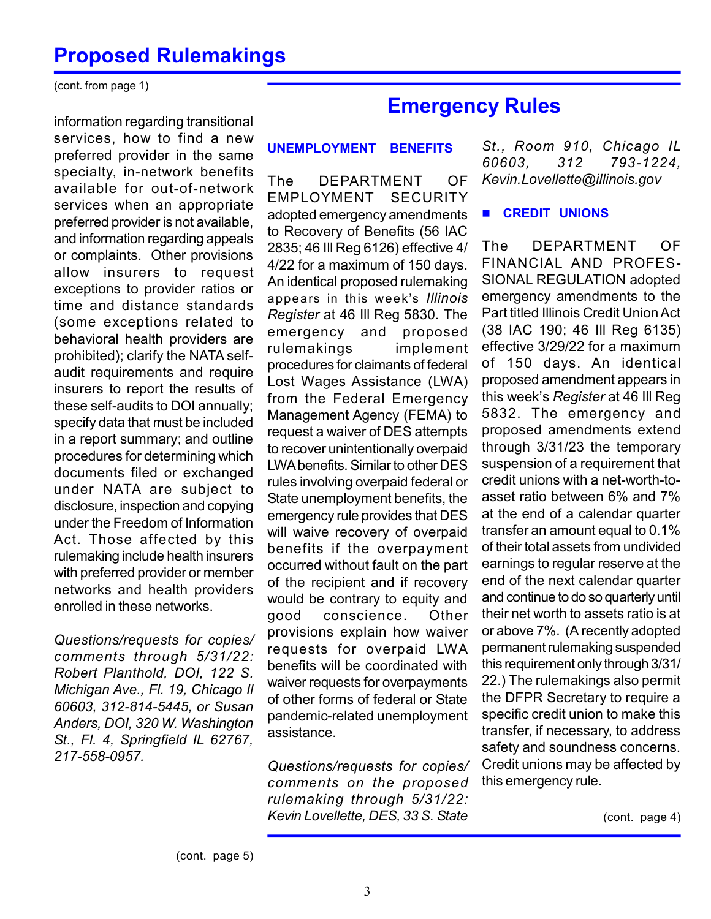### Proposed Rulemakings

(cont. from page 1)

information regarding transitional services, how to find a new preferred provider in the same specialty, in-network benefits available for out-of-network services when an appropriate preferred provider is not available, and information regarding appeals or complaints. Other provisions allow insurers to request exceptions to provider ratios or time and distance standards (some exceptions related to behavioral health providers are prohibited); clarify the NATA selfaudit requirements and require insurers to report the results of these self-audits to DOI annually; specify data that must be included in a report summary; and outline procedures for determining which documents filed or exchanged under NATA are subject to disclosure, inspection and copying under the Freedom of Information Act. Those affected by this rulemaking include health insurers with preferred provider or member networks and health providers enrolled in these networks.

Questions/requests for copies/ comments through 5/31/22: Robert Planthold, DOI, 122 S. Michigan Ave., Fl. 19, Chicago Il 60603, 312-814-5445, or Susan Anders, DOI, 320 W. Washington St., Fl. 4, Springfield IL 62767, 217-558-0957.

### Emergency Rules

#### UNEMPLOYMENT BENEFITS

The DEPARTMENT OF EMPLOYMENT SECURITY adopted emergency amendments to Recovery of Benefits (56 IAC 2835; 46 Ill Reg 6126) effective 4/ 4/22 for a maximum of 150 days. An identical proposed rulemaking appears in this week's Illinois Register at 46 Ill Reg 5830. The emergency and proposed rulemakings implement procedures for claimants of federal Lost Wages Assistance (LWA) from the Federal Emergency Management Agency (FEMA) to request a waiver of DES attempts to recover unintentionally overpaid LWA benefits. Similar to other DES rules involving overpaid federal or State unemployment benefits, the emergency rule provides that DES will waive recovery of overpaid benefits if the overpayment occurred without fault on the part of the recipient and if recovery would be contrary to equity and good conscience. Other provisions explain how waiver requests for overpaid LWA benefits will be coordinated with waiver requests for overpayments of other forms of federal or State pandemic-related unemployment assistance.

Questions/requests for copies/ comments on the proposed rulemaking through 5/31/22: Kevin Lovellette, DES, 33 S. State

St., Room 910, Chicago IL 60603, 312 793-1224, Kevin.Lovellette@illinois.gov

#### **E** CREDIT UNIONS

The DEPARTMENT OF FINANCIAL AND PROFES-SIONAL REGULATION adopted emergency amendments to the Part titled Illinois Credit Union Act (38 IAC 190; 46 Ill Reg 6135) effective 3/29/22 for a maximum of 150 days. An identical proposed amendment appears in this week's Register at 46 Ill Reg 5832. The emergency and proposed amendments extend through 3/31/23 the temporary suspension of a requirement that credit unions with a net-worth-toasset ratio between 6% and 7% at the end of a calendar quarter transfer an amount equal to 0.1% of their total assets from undivided earnings to regular reserve at the end of the next calendar quarter and continue to do so quarterly until their net worth to assets ratio is at or above 7%. (A recently adopted permanent rulemaking suspended this requirement only through 3/31/ 22.) The rulemakings also permit the DFPR Secretary to require a specific credit union to make this transfer, if necessary, to address safety and soundness concerns. Credit unions may be affected by this emergency rule.

(cont. page 4)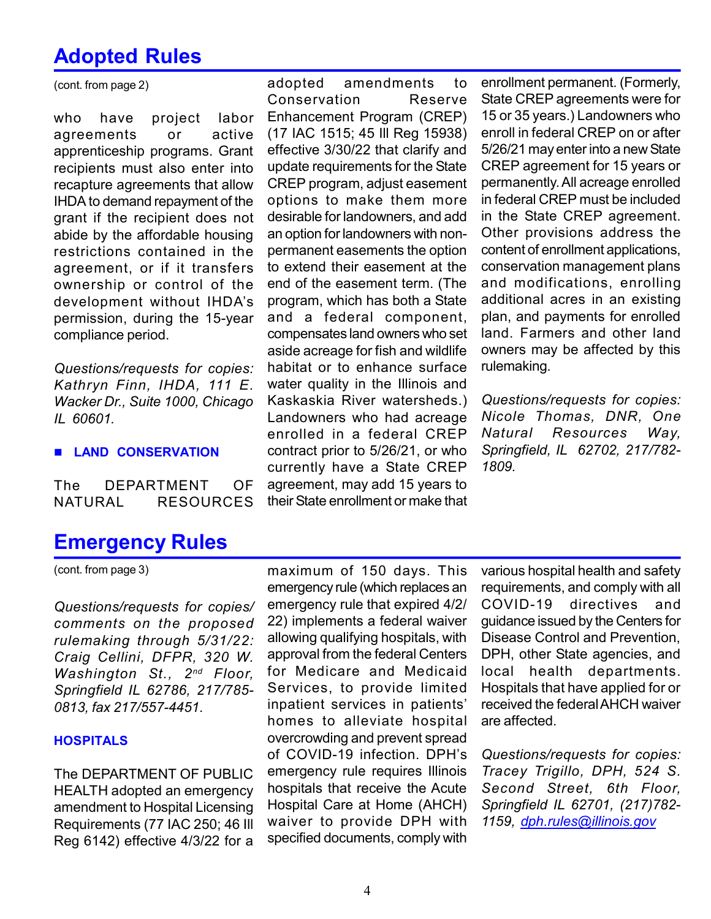## Adopted Rules

(cont. from page 2)

who have project labor agreements or active apprenticeship programs. Grant recipients must also enter into recapture agreements that allow IHDA to demand repayment of the grant if the recipient does not abide by the affordable housing restrictions contained in the agreement, or if it transfers ownership or control of the development without IHDA's permission, during the 15-year compliance period.

Questions/requests for copies: Kathryn Finn, IHDA, 111 E. Wacker Dr., Suite 1000, Chicago IL 60601.

#### **E LAND CONSERVATION**

The DEPARTMENT OF NATURAL RESOURCES

adopted amendments to Conservation Reserve Enhancement Program (CREP) (17 IAC 1515; 45 Ill Reg 15938) effective 3/30/22 that clarify and update requirements for the State CREP program, adjust easement options to make them more desirable for landowners, and add an option for landowners with nonpermanent easements the option to extend their easement at the end of the easement term. (The program, which has both a State and a federal component, compensates land owners who set aside acreage for fish and wildlife habitat or to enhance surface water quality in the Illinois and Kaskaskia River watersheds.) Landowners who had acreage enrolled in a federal CREP contract prior to 5/26/21, or who currently have a State CREP agreement, may add 15 years to their State enrollment or make that

enrollment permanent. (Formerly, State CREP agreements were for 15 or 35 years.) Landowners who enroll in federal CREP on or after 5/26/21 may enter into a new State CREP agreement for 15 years or permanently. All acreage enrolled in federal CREP must be included in the State CREP agreement. Other provisions address the content of enrollment applications, conservation management plans and modifications, enrolling additional acres in an existing plan, and payments for enrolled land. Farmers and other land owners may be affected by this rulemaking.

Questions/requests for copies: Nicole Thomas, DNR, One Natural Resources Way, Springfield, IL 62702, 217/782- 1809.

### Emergency Rules

(cont. from page 3)

Questions/requests for copies/ comments on the proposed rulemaking through 5/31/22: Craig Cellini, DFPR, 320 W. Washington St., 2<sup>nd</sup> Floor, Springfield IL 62786, 217/785- 0813, fax 217/557-4451.

#### **HOSPITALS**

The DEPARTMENT OF PUBLIC HEALTH adopted an emergency amendment to Hospital Licensing Requirements (77 IAC 250; 46 Ill Reg 6142) effective 4/3/22 for a

maximum of 150 days. This emergency rule (which replaces an emergency rule that expired 4/2/ 22) implements a federal waiver allowing qualifying hospitals, with approval from the federal Centers for Medicare and Medicaid Services, to provide limited inpatient services in patients' homes to alleviate hospital overcrowding and prevent spread of COVID-19 infection. DPH's emergency rule requires Illinois hospitals that receive the Acute Hospital Care at Home (AHCH) waiver to provide DPH with specified documents, comply with

various hospital health and safety requirements, and comply with all COVID-19 directives and guidance issued by the Centers for Disease Control and Prevention, DPH, other State agencies, and local health departments. Hospitals that have applied for or received the federal AHCH waiver are affected.

Questions/requests for copies: Tracey Trigillo, DPH, 524 S. Second Street, 6th Floor, Springfield IL 62701, (217)782- 1159, dph.rules@illinois.gov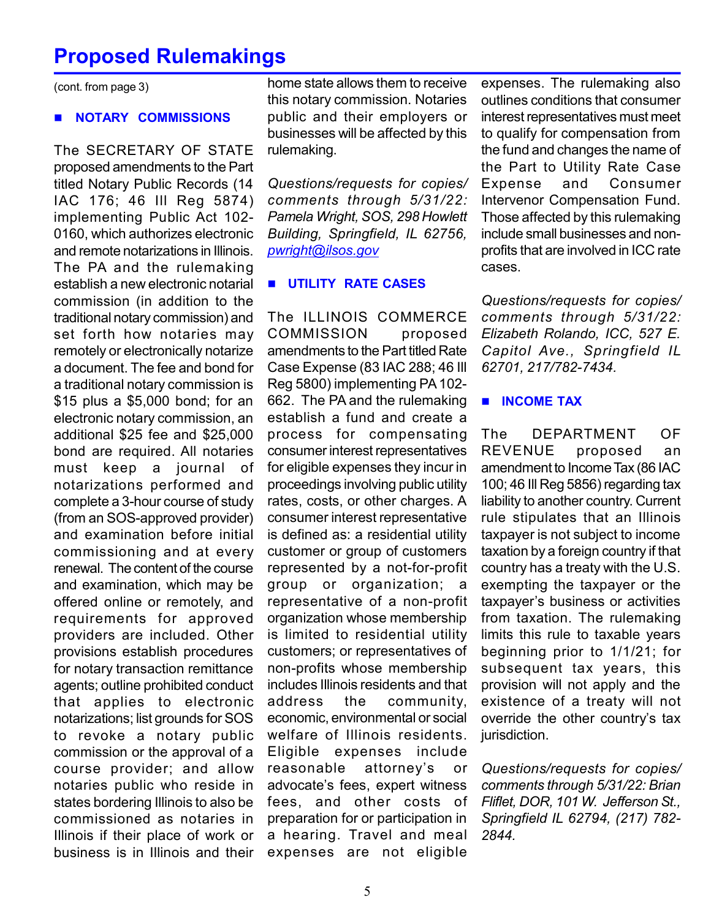### Proposed Rulemakings

(cont. from page 3)

#### NOTARY COMMISSIONS

The SECRETARY OF STATE proposed amendments to the Part titled Notary Public Records (14 IAC 176; 46 Ill Reg 5874) implementing Public Act 102- 0160, which authorizes electronic and remote notarizations in Illinois. The PA and the rulemaking establish a new electronic notarial commission (in addition to the traditional notary commission) and set forth how notaries may remotely or electronically notarize a document. The fee and bond for a traditional notary commission is \$15 plus a \$5,000 bond; for an electronic notary commission, an additional \$25 fee and \$25,000 bond are required. All notaries must keep a journal of notarizations performed and complete a 3-hour course of study (from an SOS-approved provider) and examination before initial commissioning and at every renewal. The content of the course and examination, which may be offered online or remotely, and requirements for approved providers are included. Other provisions establish procedures for notary transaction remittance agents; outline prohibited conduct that applies to electronic notarizations; list grounds for SOS to revoke a notary public commission or the approval of a course provider; and allow notaries public who reside in states bordering Illinois to also be commissioned as notaries in Illinois if their place of work or business is in Illinois and their

home state allows them to receive this notary commission. Notaries public and their employers or businesses will be affected by this rulemaking.

Questions/requests for copies/ comments through 5/31/22: Pamela Wright, SOS, 298 Howlett Building, Springfield, IL 62756, pwright@ilsos.gov

#### **UTILITY RATE CASES**

The ILLINOIS COMMERCE COMMISSION proposed amendments to the Part titled Rate Case Expense (83 IAC 288; 46 Ill Reg 5800) implementing PA 102- 662. The PA and the rulemaking establish a fund and create a process for compensating consumer interest representatives for eligible expenses they incur in proceedings involving public utility rates, costs, or other charges. A consumer interest representative is defined as: a residential utility customer or group of customers represented by a not-for-profit group or organization; a representative of a non-profit organization whose membership is limited to residential utility customers; or representatives of non-profits whose membership includes Illinois residents and that address the community, economic, environmental or social welfare of Illinois residents. Eligible expenses include reasonable attorney's or advocate's fees, expert witness fees, and other costs of preparation for or participation in a hearing. Travel and meal expenses are not eligible

expenses. The rulemaking also outlines conditions that consumer interest representatives must meet to qualify for compensation from the fund and changes the name of the Part to Utility Rate Case Expense and Consumer Intervenor Compensation Fund. Those affected by this rulemaking include small businesses and nonprofits that are involved in ICC rate cases.

Questions/requests for copies/ comments through 5/31/22: Elizabeth Rolando, ICC, 527 E. Capitol Ave., Springfield IL 62701, 217/782-7434.

#### **INCOME TAX**

The DEPARTMENT OF REVENUE proposed an amendment to Income Tax (86 IAC 100; 46 Ill Reg 5856) regarding tax liability to another country. Current rule stipulates that an Illinois taxpayer is not subject to income taxation by a foreign country if that country has a treaty with the U.S. exempting the taxpayer or the taxpayer's business or activities from taxation. The rulemaking limits this rule to taxable years beginning prior to 1/1/21; for subsequent tax years, this provision will not apply and the existence of a treaty will not override the other country's tax jurisdiction.

Questions/requests for copies/ comments through 5/31/22: Brian Fliflet, DOR, 101 W. Jefferson St., Springfield IL 62794, (217) 782- 2844.